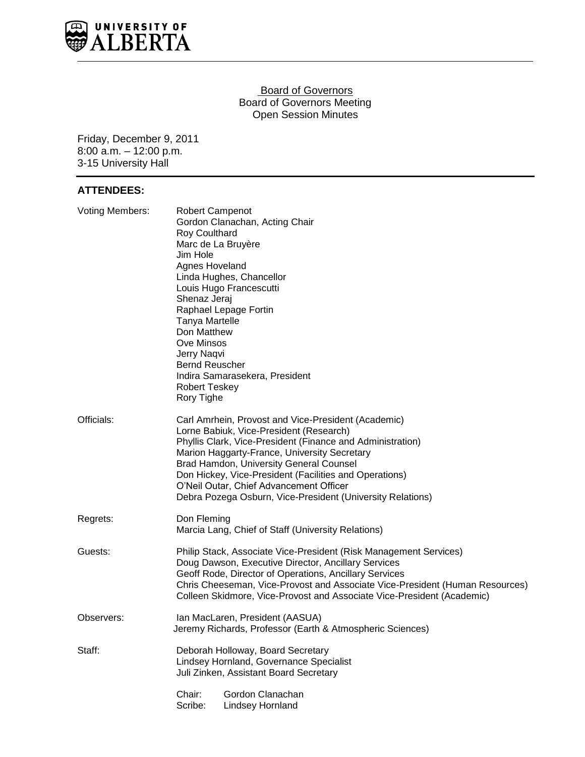

### **Board of Governors** Board of Governors Meeting Open Session Minutes

Friday, December 9, 2011 8:00 a.m. – 12:00 p.m. 3-15 University Hall

## **ATTENDEES:**

| <b>Voting Members:</b> | Robert Campenot<br>Gordon Clanachan, Acting Chair<br>Roy Coulthard<br>Marc de La Bruyère<br>Jim Hole<br>Agnes Hoveland<br>Linda Hughes, Chancellor<br>Louis Hugo Francescutti<br>Shenaz Jeraj<br>Raphael Lepage Fortin<br><b>Tanya Martelle</b><br>Don Matthew<br><b>Ove Minsos</b><br>Jerry Naqvi<br><b>Bernd Reuscher</b><br>Indira Samarasekera, President<br><b>Robert Teskey</b><br>Rory Tighe                               |  |  |  |
|------------------------|-----------------------------------------------------------------------------------------------------------------------------------------------------------------------------------------------------------------------------------------------------------------------------------------------------------------------------------------------------------------------------------------------------------------------------------|--|--|--|
| Officials:             | Carl Amrhein, Provost and Vice-President (Academic)<br>Lorne Babiuk, Vice-President (Research)<br>Phyllis Clark, Vice-President (Finance and Administration)<br>Marion Haggarty-France, University Secretary<br><b>Brad Hamdon, University General Counsel</b><br>Don Hickey, Vice-President (Facilities and Operations)<br>O'Neil Outar, Chief Advancement Officer<br>Debra Pozega Osburn, Vice-President (University Relations) |  |  |  |
| Regrets:               | Don Fleming<br>Marcia Lang, Chief of Staff (University Relations)                                                                                                                                                                                                                                                                                                                                                                 |  |  |  |
| Guests:                | Philip Stack, Associate Vice-President (Risk Management Services)<br>Doug Dawson, Executive Director, Ancillary Services<br>Geoff Rode, Director of Operations, Ancillary Services<br>Chris Cheeseman, Vice-Provost and Associate Vice-President (Human Resources)<br>Colleen Skidmore, Vice-Provost and Associate Vice-President (Academic)                                                                                      |  |  |  |
| Observers:             | Ian MacLaren, President (AASUA)<br>Jeremy Richards, Professor (Earth & Atmospheric Sciences)                                                                                                                                                                                                                                                                                                                                      |  |  |  |
| Staff:                 | Deborah Holloway, Board Secretary<br>Lindsey Hornland, Governance Specialist<br>Juli Zinken, Assistant Board Secretary                                                                                                                                                                                                                                                                                                            |  |  |  |
|                        | Chair:<br>Gordon Clanachan<br>Scribe:<br><b>Lindsey Hornland</b>                                                                                                                                                                                                                                                                                                                                                                  |  |  |  |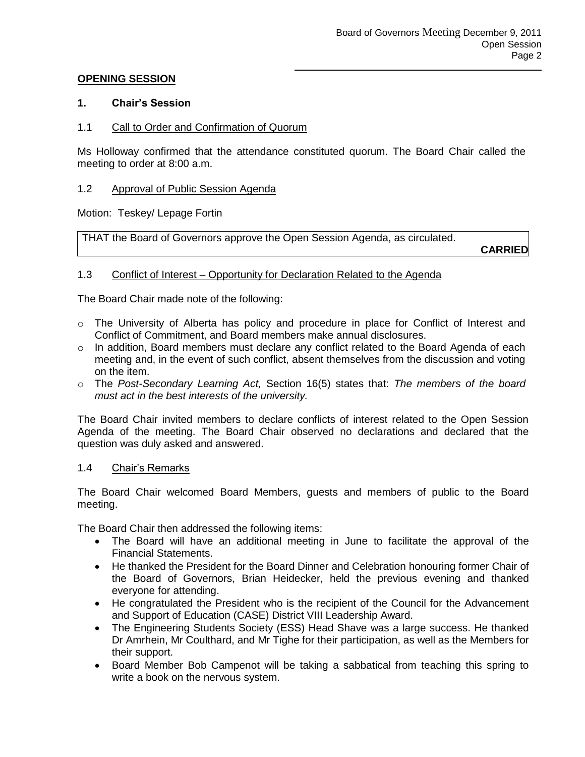### **OPENING SESSION**

### **1. Chair's Session**

1.1 Call to Order and Confirmation of Quorum

Ms Holloway confirmed that the attendance constituted quorum. The Board Chair called the meeting to order at 8:00 a.m.

### 1.2 Approval of Public Session Agenda

Motion: Teskey/ Lepage Fortin

THAT the Board of Governors approve the Open Session Agenda, as circulated.

**CARRIED**

### 1.3 Conflict of Interest – Opportunity for Declaration Related to the Agenda

The Board Chair made note of the following:

- o The University of Alberta has policy and procedure in place for Conflict of Interest and Conflict of Commitment, and Board members make annual disclosures.
- o In addition, Board members must declare any conflict related to the Board Agenda of each meeting and, in the event of such conflict, absent themselves from the discussion and voting on the item.
- o The *Post-Secondary Learning Act,* Section 16(5) states that: *The members of the board must act in the best interests of the university.*

The Board Chair invited members to declare conflicts of interest related to the Open Session Agenda of the meeting. The Board Chair observed no declarations and declared that the question was duly asked and answered.

#### 1.4 Chair's Remarks

The Board Chair welcomed Board Members, guests and members of public to the Board meeting.

The Board Chair then addressed the following items:

- The Board will have an additional meeting in June to facilitate the approval of the Financial Statements.
- He thanked the President for the Board Dinner and Celebration honouring former Chair of the Board of Governors, Brian Heidecker, held the previous evening and thanked everyone for attending.
- He congratulated the President who is the recipient of the Council for the Advancement and Support of Education (CASE) District VIII Leadership Award.
- The Engineering Students Society (ESS) Head Shave was a large success. He thanked Dr Amrhein, Mr Coulthard, and Mr Tighe for their participation, as well as the Members for their support.
- Board Member Bob Campenot will be taking a sabbatical from teaching this spring to write a book on the nervous system.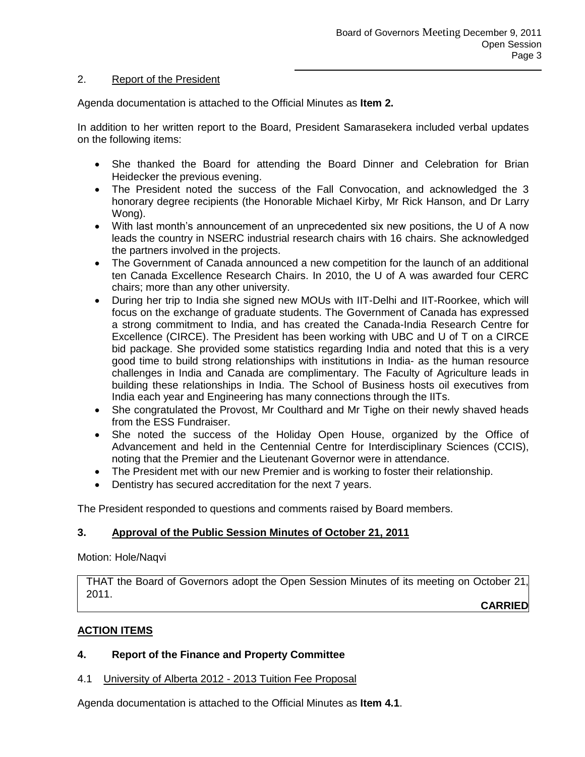### 2. Report of the President

Agenda documentation is attached to the Official Minutes as **Item 2.**

In addition to her written report to the Board, President Samarasekera included verbal updates on the following items:

- She thanked the Board for attending the Board Dinner and Celebration for Brian Heidecker the previous evening.
- The President noted the success of the Fall Convocation, and acknowledged the 3 honorary degree recipients (the Honorable Michael Kirby, Mr Rick Hanson, and Dr Larry Wong).
- With last month's announcement of an unprecedented six new positions, the U of A now leads the country in NSERC industrial research chairs with 16 chairs. She acknowledged the partners involved in the projects.
- The Government of Canada announced a new competition for the launch of an additional ten Canada Excellence Research Chairs. In 2010, the U of A was awarded four CERC chairs; more than any other university.
- During her trip to India she signed new MOUs with IIT-Delhi and IIT-Roorkee, which will focus on the exchange of graduate students. The Government of Canada has expressed a strong commitment to India, and has created the Canada-India Research Centre for Excellence (CIRCE). The President has been working with UBC and U of T on a CIRCE bid package. She provided some statistics regarding India and noted that this is a very good time to build strong relationships with institutions in India- as the human resource challenges in India and Canada are complimentary. The Faculty of Agriculture leads in building these relationships in India. The School of Business hosts oil executives from India each year and Engineering has many connections through the IITs.
- She congratulated the Provost, Mr Coulthard and Mr Tighe on their newly shaved heads from the ESS Fundraiser.
- She noted the success of the Holiday Open House, organized by the Office of Advancement and held in the Centennial Centre for Interdisciplinary Sciences (CCIS), noting that the Premier and the Lieutenant Governor were in attendance.
- The President met with our new Premier and is working to foster their relationship.
- Dentistry has secured accreditation for the next 7 years.

The President responded to questions and comments raised by Board members.

# **3. Approval of the Public Session Minutes of October 21, 2011**

Motion: Hole/Naqvi

THAT the Board of Governors adopt the Open Session Minutes of its meeting on October 21, 2011.

**CARRIED**

# **ACTION ITEMS**

### **4. Report of the Finance and Property Committee**

4.1 University of Alberta 2012 - 2013 Tuition Fee Proposal

Agenda documentation is attached to the Official Minutes as **Item 4.1**.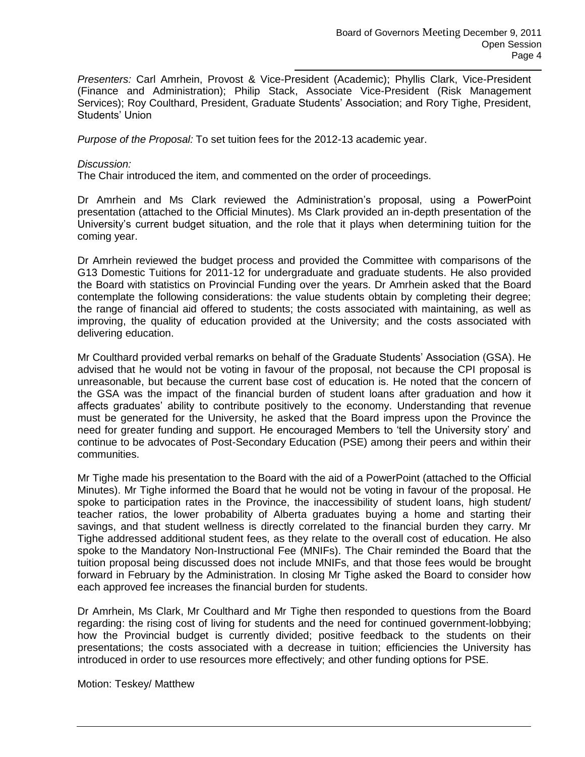*Presenters:* Carl Amrhein, Provost & Vice-President (Academic); Phyllis Clark, Vice-President (Finance and Administration); Philip Stack, Associate Vice-President (Risk Management Services); Roy Coulthard, President, Graduate Students' Association; and Rory Tighe, President, Students' Union

*Purpose of the Proposal:* To set tuition fees for the 2012-13 academic year.

#### *Discussion:*

The Chair introduced the item, and commented on the order of proceedings.

Dr Amrhein and Ms Clark reviewed the Administration's proposal, using a PowerPoint presentation (attached to the Official Minutes). Ms Clark provided an in-depth presentation of the University's current budget situation, and the role that it plays when determining tuition for the coming year.

Dr Amrhein reviewed the budget process and provided the Committee with comparisons of the G13 Domestic Tuitions for 2011-12 for undergraduate and graduate students. He also provided the Board with statistics on Provincial Funding over the years. Dr Amrhein asked that the Board contemplate the following considerations: the value students obtain by completing their degree; the range of financial aid offered to students; the costs associated with maintaining, as well as improving, the quality of education provided at the University; and the costs associated with delivering education.

Mr Coulthard provided verbal remarks on behalf of the Graduate Students' Association (GSA). He advised that he would not be voting in favour of the proposal, not because the CPI proposal is unreasonable, but because the current base cost of education is. He noted that the concern of the GSA was the impact of the financial burden of student loans after graduation and how it affects graduates' ability to contribute positively to the economy. Understanding that revenue must be generated for the University, he asked that the Board impress upon the Province the need for greater funding and support. He encouraged Members to 'tell the University story' and continue to be advocates of Post-Secondary Education (PSE) among their peers and within their communities.

Mr Tighe made his presentation to the Board with the aid of a PowerPoint (attached to the Official Minutes). Mr Tighe informed the Board that he would not be voting in favour of the proposal. He spoke to participation rates in the Province, the inaccessibility of student loans, high student/ teacher ratios, the lower probability of Alberta graduates buying a home and starting their savings, and that student wellness is directly correlated to the financial burden they carry. Mr Tighe addressed additional student fees, as they relate to the overall cost of education. He also spoke to the Mandatory Non-Instructional Fee (MNIFs). The Chair reminded the Board that the tuition proposal being discussed does not include MNIFs, and that those fees would be brought forward in February by the Administration. In closing Mr Tighe asked the Board to consider how each approved fee increases the financial burden for students.

Dr Amrhein, Ms Clark, Mr Coulthard and Mr Tighe then responded to questions from the Board regarding: the rising cost of living for students and the need for continued government-lobbying; how the Provincial budget is currently divided; positive feedback to the students on their presentations; the costs associated with a decrease in tuition; efficiencies the University has introduced in order to use resources more effectively; and other funding options for PSE.

Motion: Teskey/ Matthew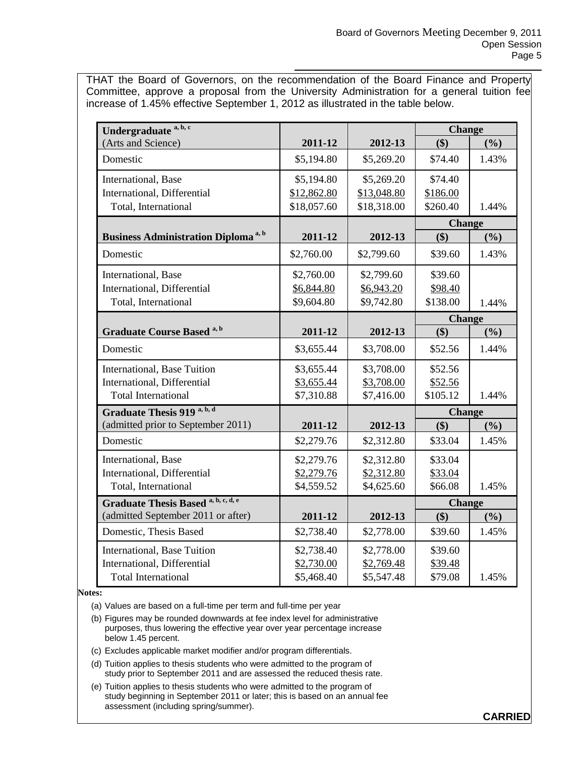THAT the Board of Governors, on the recommendation of the Board Finance and Property Committee, approve a proposal from the University Administration for a general tuition fee increase of 1.45% effective September 1, 2012 as illustrated in the table below.

| Undergraduate <sup>a, b, c</sup>                       |             |             | <b>Change</b> |       |
|--------------------------------------------------------|-------------|-------------|---------------|-------|
| (Arts and Science)                                     | 2011-12     | 2012-13     | \$)           | (%)   |
| Domestic                                               | \$5,194.80  | \$5,269.20  | \$74.40       | 1.43% |
| International, Base                                    | \$5,194.80  | \$5,269.20  | \$74.40       |       |
| International, Differential                            | \$12,862.80 | \$13,048.80 | \$186.00      |       |
| Total, International                                   | \$18,057.60 | \$18,318.00 | \$260.40      | 1.44% |
|                                                        |             |             | <b>Change</b> |       |
| <b>Business Administration Diploma</b> <sup>a, b</sup> | 2011-12     | 2012-13     | \$)           | (%)   |
| Domestic                                               | \$2,760.00  | \$2,799.60  | \$39.60       | 1.43% |
| International, Base                                    | \$2,760.00  | \$2,799.60  | \$39.60       |       |
| International, Differential                            | \$6,844.80  | \$6,943.20  | \$98.40       |       |
| Total, International                                   | \$9,604.80  | \$9,742.80  | \$138.00      | 1.44% |
|                                                        |             |             | <b>Change</b> |       |
| <b>Graduate Course Based a, b</b>                      | 2011-12     | 2012-13     | \$)           | (%)   |
| Domestic                                               | \$3,655.44  | \$3,708.00  | \$52.56       | 1.44% |
| International, Base Tuition                            | \$3,655.44  | \$3,708.00  | \$52.56       |       |
| International, Differential                            | \$3,655.44  | \$3,708.00  | \$52.56       |       |
| <b>Total International</b>                             | \$7,310.88  | \$7,416.00  | \$105.12      | 1.44% |
| Graduate Thesis 919 <sup>a, b, d</sup>                 |             |             | <b>Change</b> |       |
| (admitted prior to September 2011)                     | 2011-12     | 2012-13     | \$)           | (%)   |
| Domestic                                               | \$2,279.76  | \$2,312.80  | \$33.04       | 1.45% |
| International, Base                                    | \$2,279.76  | \$2,312.80  | \$33.04       |       |
| International, Differential                            | \$2,279.76  | \$2,312.80  | \$33.04       |       |
| Total, International                                   | \$4,559.52  | \$4,625.60  | \$66.08       | 1.45% |
| Graduate Thesis Based a, b, c, d, e                    |             |             | <b>Change</b> |       |
| (admitted September 2011 or after)                     | 2011-12     | 2012-13     | \$)           | (%)   |
| Domestic, Thesis Based                                 | \$2,738.40  | \$2,778.00  | \$39.60       | 1.45% |
| International, Base Tuition                            | \$2,738.40  | \$2,778.00  | \$39.60       |       |
| International, Differential                            | \$2,730.00  | \$2,769.48  | \$39.48       |       |
| <b>Total International</b>                             | \$5,468.40  | \$5,547.48  | \$79.08       | 1.45% |

#### **Notes:**

(a) Values are based on a full-time per term and full-time per year

- (b) Figures may be rounded downwards at fee index level for administrative purposes, thus lowering the effective year over year percentage increase below 1.45 percent.
- (c) Excludes applicable market modifier and/or program differentials.
- (d) Tuition applies to thesis students who were admitted to the program of study prior to September 2011 and are assessed the reduced thesis rate.
- (e) Tuition applies to thesis students who were admitted to the program of study beginning in September 2011 or later; this is based on an annual fee assessment (including spring/summer).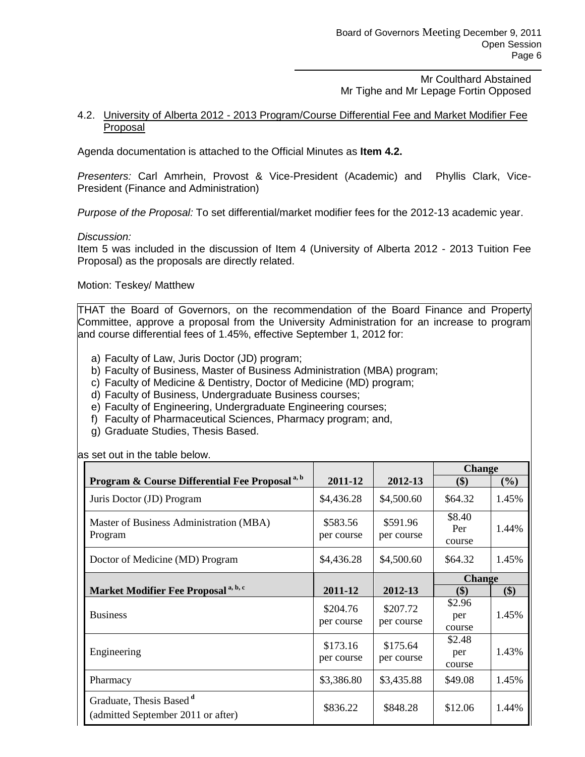Mr Coulthard Abstained Mr Tighe and Mr Lepage Fortin Opposed

#### 4.2. University of Alberta 2012 - 2013 Program/Course Differential Fee and Market Modifier Fee Proposal

Agenda documentation is attached to the Official Minutes as **Item 4.2.**

*Presenters:* Carl Amrhein, Provost & Vice-President (Academic) and Phyllis Clark, Vice-President (Finance and Administration)

*Purpose of the Proposal:* To set differential/market modifier fees for the 2012-13 academic year.

#### *Discussion:*

Item 5 was included in the discussion of Item 4 (University of Alberta 2012 - 2013 Tuition Fee Proposal) as the proposals are directly related.

Motion: Teskey/ Matthew

THAT the Board of Governors, on the recommendation of the Board Finance and Property Committee, approve a proposal from the University Administration for an increase to program and course differential fees of 1.45%, effective September 1, 2012 for:

- a) Faculty of Law, Juris Doctor (JD) program;
- b) Faculty of Business, Master of Business Administration (MBA) program;
- c) Faculty of Medicine & Dentistry, Doctor of Medicine (MD) program;
- d) Faculty of Business, Undergraduate Business courses;
- e) Faculty of Engineering, Undergraduate Engineering courses;
- f) Faculty of Pharmaceutical Sciences, Pharmacy program; and,
- g) Graduate Studies, Thesis Based.

as set out in the table below.

|                                                                           |                        |                        | <b>Change</b>           |        |
|---------------------------------------------------------------------------|------------------------|------------------------|-------------------------|--------|
| Program & Course Differential Fee Proposal <sup>a, b</sup>                | 2011-12                | 2012-13                | \$)                     | $(\%)$ |
| Juris Doctor (JD) Program                                                 | \$4,436.28             | \$4,500.60             | \$64.32                 | 1.45%  |
| Master of Business Administration (MBA)<br>Program                        | \$583.56<br>per course | \$591.96<br>per course | \$8.40<br>Per<br>course | 1.44%  |
| Doctor of Medicine (MD) Program                                           | \$4,436.28             | \$4,500.60             | \$64.32                 | 1.45%  |
|                                                                           |                        |                        | <b>Change</b>           |        |
| Market Modifier Fee Proposal <sup>a, b, c</sup>                           | 2011-12                | 2012-13                | \$)                     | \$)    |
| <b>Business</b>                                                           | \$204.76<br>per course | \$207.72<br>per course | \$2.96<br>per<br>course | 1.45%  |
| Engineering                                                               | \$173.16<br>per course | \$175.64<br>per course | \$2.48<br>per<br>course | 1.43%  |
| Pharmacy                                                                  | \$3,386.80             | \$3,435.88             | \$49.08                 | 1.45%  |
| Graduate, Thesis Based <sup>d</sup><br>(admitted September 2011 or after) | \$836.22               | \$848.28               | \$12.06                 | 1.44%  |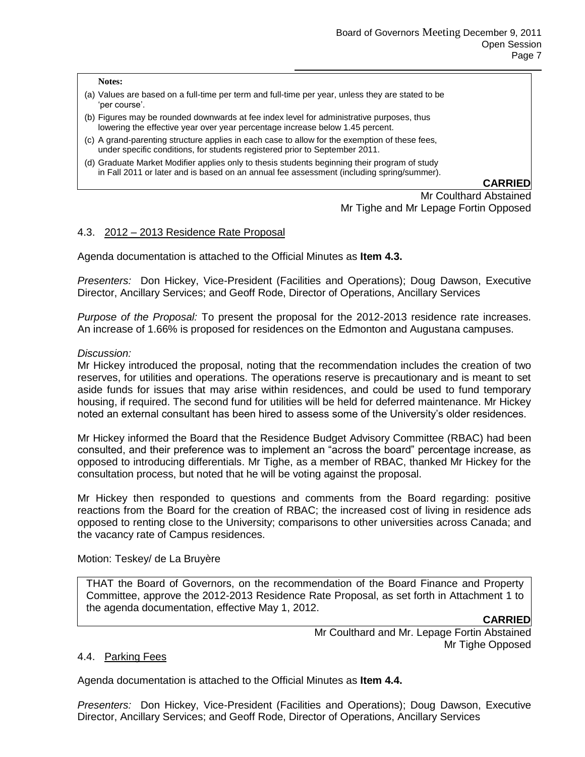**Notes:**

- (a) Values are based on a full-time per term and full-time per year, unless they are stated to be 'per course'.
- (b) Figures may be rounded downwards at fee index level for administrative purposes, thus lowering the effective year over year percentage increase below 1.45 percent.
- (c) A grand-parenting structure applies in each case to allow for the exemption of these fees, under specific conditions, for students registered prior to September 2011.
- (d) Graduate Market Modifier applies only to thesis students beginning their program of study in Fall 2011 or later and is based on an annual fee assessment (including spring/summer).

#### **CARRIED**

Mr Coulthard Abstained Mr Tighe and Mr Lepage Fortin Opposed

### 4.3. 2012 – 2013 Residence Rate Proposal

Agenda documentation is attached to the Official Minutes as **Item 4.3.**

*Presenters:* Don Hickey, Vice-President (Facilities and Operations); Doug Dawson, Executive Director, Ancillary Services; and Geoff Rode, Director of Operations, Ancillary Services

*Purpose of the Proposal:* To present the proposal for the 2012-2013 residence rate increases. An increase of 1.66% is proposed for residences on the Edmonton and Augustana campuses.

#### *Discussion:*

Mr Hickey introduced the proposal, noting that the recommendation includes the creation of two reserves, for utilities and operations. The operations reserve is precautionary and is meant to set aside funds for issues that may arise within residences, and could be used to fund temporary housing, if required. The second fund for utilities will be held for deferred maintenance. Mr Hickey noted an external consultant has been hired to assess some of the University's older residences.

Mr Hickey informed the Board that the Residence Budget Advisory Committee (RBAC) had been consulted, and their preference was to implement an "across the board" percentage increase, as opposed to introducing differentials. Mr Tighe, as a member of RBAC, thanked Mr Hickey for the consultation process, but noted that he will be voting against the proposal.

Mr Hickey then responded to questions and comments from the Board regarding: positive reactions from the Board for the creation of RBAC; the increased cost of living in residence ads opposed to renting close to the University; comparisons to other universities across Canada; and the vacancy rate of Campus residences.

Motion: Teskey/ de La Bruyère

THAT the Board of Governors, on the recommendation of the Board Finance and Property Committee, approve the 2012-2013 Residence Rate Proposal, as set forth in Attachment 1 to the agenda documentation, effective May 1, 2012.

#### **CARRIED**

Mr Coulthard and Mr. Lepage Fortin Abstained Mr Tighe Opposed

#### 4.4. Parking Fees

Agenda documentation is attached to the Official Minutes as **Item 4.4.**

*Presenters:* Don Hickey, Vice-President (Facilities and Operations); Doug Dawson, Executive Director, Ancillary Services; and Geoff Rode, Director of Operations, Ancillary Services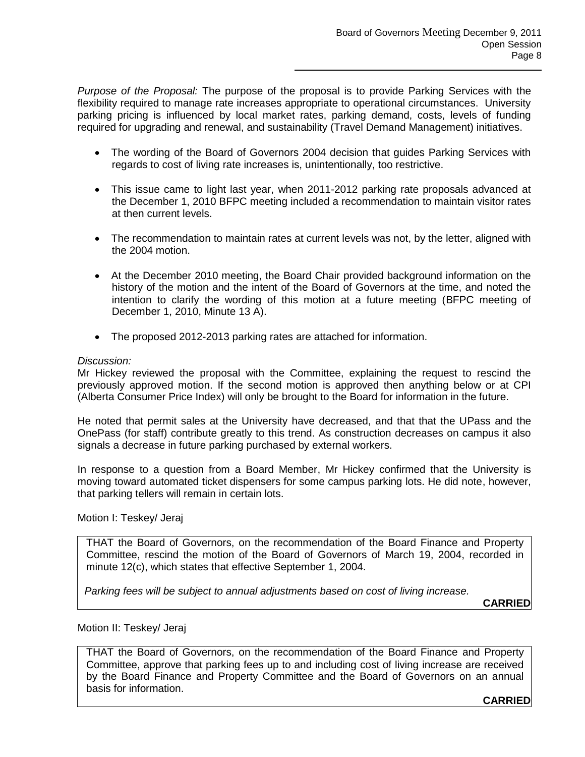*Purpose of the Proposal:* The purpose of the proposal is to provide Parking Services with the flexibility required to manage rate increases appropriate to operational circumstances. University parking pricing is influenced by local market rates, parking demand, costs, levels of funding required for upgrading and renewal, and sustainability (Travel Demand Management) initiatives.

- The wording of the Board of Governors 2004 decision that guides Parking Services with regards to cost of living rate increases is, unintentionally, too restrictive.
- This issue came to light last year, when 2011-2012 parking rate proposals advanced at the December 1, 2010 BFPC meeting included a recommendation to maintain visitor rates at then current levels.
- The recommendation to maintain rates at current levels was not, by the letter, aligned with the 2004 motion.
- At the December 2010 meeting, the Board Chair provided background information on the history of the motion and the intent of the Board of Governors at the time, and noted the intention to clarify the wording of this motion at a future meeting (BFPC meeting of December 1, 2010, Minute 13 A).
- The proposed 2012-2013 parking rates are attached for information.

### *Discussion:*

Mr Hickey reviewed the proposal with the Committee, explaining the request to rescind the previously approved motion. If the second motion is approved then anything below or at CPI (Alberta Consumer Price Index) will only be brought to the Board for information in the future.

He noted that permit sales at the University have decreased, and that that the UPass and the OnePass (for staff) contribute greatly to this trend. As construction decreases on campus it also signals a decrease in future parking purchased by external workers.

In response to a question from a Board Member, Mr Hickey confirmed that the University is moving toward automated ticket dispensers for some campus parking lots. He did note, however, that parking tellers will remain in certain lots.

Motion I: Teskey/ Jeraj

THAT the Board of Governors, on the recommendation of the Board Finance and Property Committee, rescind the motion of the Board of Governors of March 19, 2004, recorded in minute 12(c), which states that effective September 1, 2004.

*Parking fees will be subject to annual adjustments based on cost of living increase.*

**CARRIED**

#### Motion II: Teskey/ Jeraj

THAT the Board of Governors, on the recommendation of the Board Finance and Property Committee, approve that parking fees up to and including cost of living increase are received by the Board Finance and Property Committee and the Board of Governors on an annual basis for information.

**CARRIED**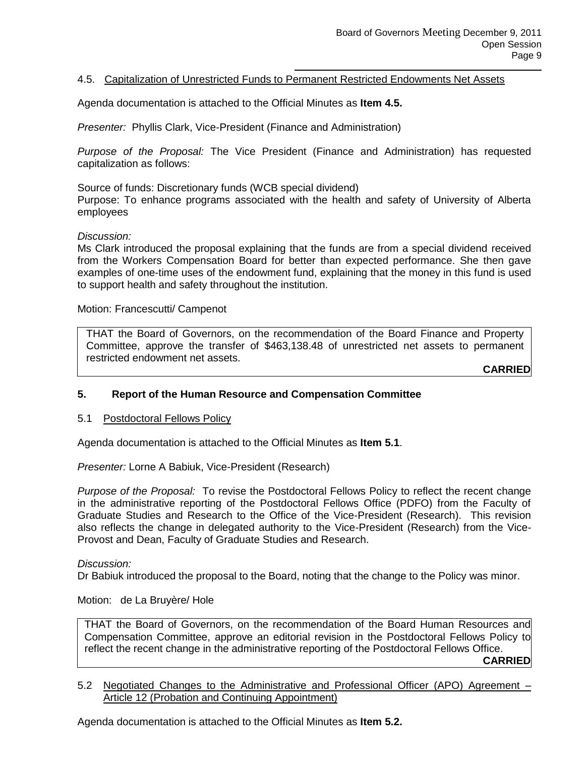### 4.5. Capitalization of Unrestricted Funds to Permanent Restricted Endowments Net Assets

Agenda documentation is attached to the Official Minutes as **Item 4.5.**

*Presenter:* Phyllis Clark, Vice-President (Finance and Administration)

*Purpose of the Proposal:* The Vice President (Finance and Administration) has requested capitalization as follows:

Source of funds: Discretionary funds (WCB special dividend) Purpose: To enhance programs associated with the health and safety of University of Alberta employees

*Discussion:*

Ms Clark introduced the proposal explaining that the funds are from a special dividend received from the Workers Compensation Board for better than expected performance. She then gave examples of one-time uses of the endowment fund, explaining that the money in this fund is used to support health and safety throughout the institution.

Motion: Francescutti/ Campenot

THAT the Board of Governors, on the recommendation of the Board Finance and Property Committee, approve the transfer of \$463,138.48 of unrestricted net assets to permanent restricted endowment net assets.

**CARRIED**

#### **5. Report of the Human Resource and Compensation Committee**

5.1 Postdoctoral Fellows Policy

Agenda documentation is attached to the Official Minutes as **Item 5.1**.

*Presenter:* Lorne A Babiuk, Vice-President (Research)

*Purpose of the Proposal:* To revise the Postdoctoral Fellows Policy to reflect the recent change in the administrative reporting of the Postdoctoral Fellows Office (PDFO) from the Faculty of Graduate Studies and Research to the Office of the Vice-President (Research). This revision also reflects the change in delegated authority to the Vice-President (Research) from the Vice-Provost and Dean, Faculty of Graduate Studies and Research.

*Discussion:*

Dr Babiuk introduced the proposal to the Board, noting that the change to the Policy was minor.

Motion: de La Bruyère/ Hole

THAT the Board of Governors, on the recommendation of the Board Human Resources and Compensation Committee, approve an editorial revision in the Postdoctoral Fellows Policy to reflect the recent change in the administrative reporting of the Postdoctoral Fellows Office. **CARRIED**

5.2 Negotiated Changes to the Administrative and Professional Officer (APO) Agreement – Article 12 (Probation and Continuing Appointment)

Agenda documentation is attached to the Official Minutes as **Item 5.2.**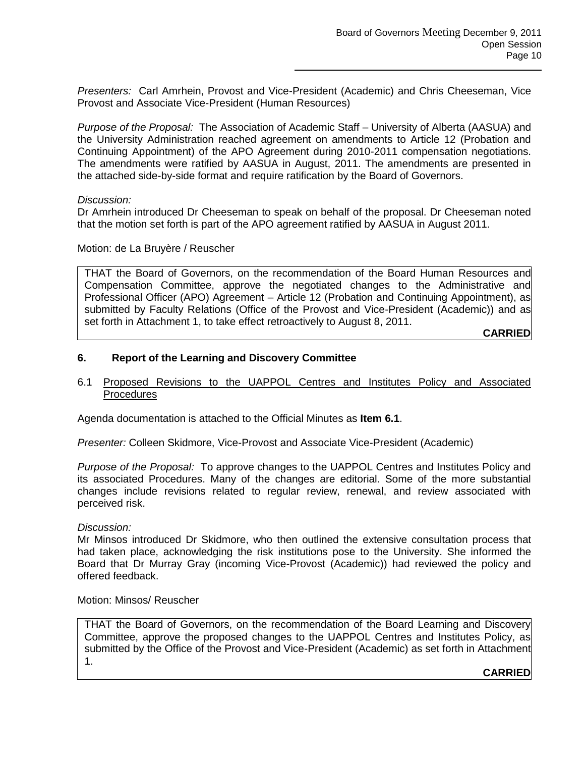*Presenters:* Carl Amrhein, Provost and Vice-President (Academic) and Chris Cheeseman, Vice Provost and Associate Vice-President (Human Resources)

*Purpose of the Proposal:* The Association of Academic Staff – University of Alberta (AASUA) and the University Administration reached agreement on amendments to Article 12 (Probation and Continuing Appointment) of the APO Agreement during 2010-2011 compensation negotiations. The amendments were ratified by AASUA in August, 2011. The amendments are presented in the attached side-by-side format and require ratification by the Board of Governors.

### *Discussion:*

Dr Amrhein introduced Dr Cheeseman to speak on behalf of the proposal. Dr Cheeseman noted that the motion set forth is part of the APO agreement ratified by AASUA in August 2011.

Motion: de La Bruyère / Reuscher

THAT the Board of Governors, on the recommendation of the Board Human Resources and Compensation Committee, approve the negotiated changes to the Administrative and Professional Officer (APO) Agreement – Article 12 (Probation and Continuing Appointment), as submitted by Faculty Relations (Office of the Provost and Vice-President (Academic)) and as set forth in Attachment 1, to take effect retroactively to August 8, 2011.

**CARRIED**

### **6. Report of the Learning and Discovery Committee**

### 6.1 Proposed Revisions to the UAPPOL Centres and Institutes Policy and Associated **Procedures**

Agenda documentation is attached to the Official Minutes as **Item 6.1**.

*Presenter:* Colleen Skidmore, Vice-Provost and Associate Vice-President (Academic)

*Purpose of the Proposal:* To approve changes to the UAPPOL Centres and Institutes Policy and its associated Procedures. Many of the changes are editorial. Some of the more substantial changes include revisions related to regular review, renewal, and review associated with perceived risk.

#### *Discussion:*

Mr Minsos introduced Dr Skidmore, who then outlined the extensive consultation process that had taken place, acknowledging the risk institutions pose to the University. She informed the Board that Dr Murray Gray (incoming Vice-Provost (Academic)) had reviewed the policy and offered feedback.

Motion: Minsos/ Reuscher

THAT the Board of Governors, on the recommendation of the Board Learning and Discovery Committee, approve the proposed changes to the UAPPOL Centres and Institutes Policy, as submitted by the Office of the Provost and Vice-President (Academic) as set forth in Attachment 1.

**CARRIED**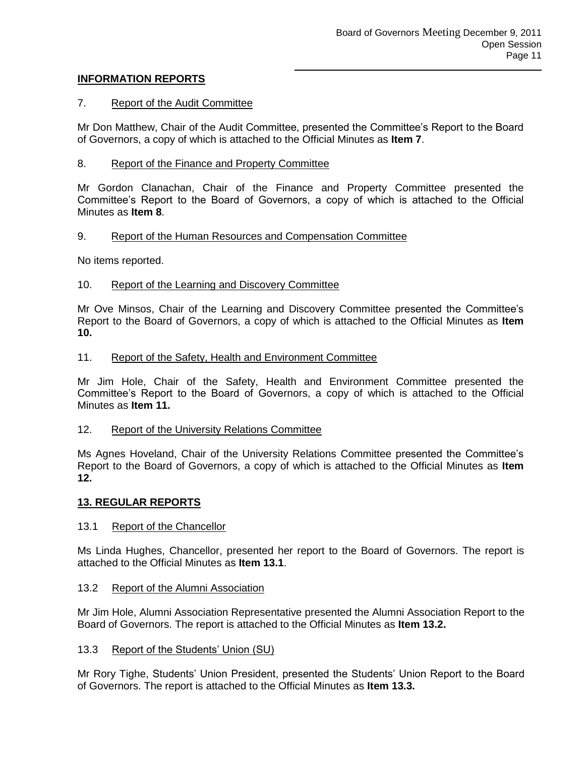## **INFORMATION REPORTS**

## 7. Report of the Audit Committee

Mr Don Matthew, Chair of the Audit Committee, presented the Committee's Report to the Board of Governors, a copy of which is attached to the Official Minutes as **Item 7**.

## 8. Report of the Finance and Property Committee

Mr Gordon Clanachan, Chair of the Finance and Property Committee presented the Committee's Report to the Board of Governors, a copy of which is attached to the Official Minutes as **Item 8**.

### 9. Report of the Human Resources and Compensation Committee

No items reported.

### 10. Report of the Learning and Discovery Committee

Mr Ove Minsos, Chair of the Learning and Discovery Committee presented the Committee's Report to the Board of Governors, a copy of which is attached to the Official Minutes as **Item 10.**

### 11. Report of the Safety, Health and Environment Committee

Mr Jim Hole, Chair of the Safety, Health and Environment Committee presented the Committee's Report to the Board of Governors, a copy of which is attached to the Official Minutes as **Item 11.**

### 12. Report of the University Relations Committee

Ms Agnes Hoveland, Chair of the University Relations Committee presented the Committee's Report to the Board of Governors, a copy of which is attached to the Official Minutes as **Item 12.**

### **13. REGULAR REPORTS**

### 13.1 Report of the Chancellor

Ms Linda Hughes, Chancellor, presented her report to the Board of Governors. The report is attached to the Official Minutes as **Item 13.1**.

### 13.2 Report of the Alumni Association

Mr Jim Hole, Alumni Association Representative presented the Alumni Association Report to the Board of Governors. The report is attached to the Official Minutes as **Item 13.2.**

### 13.3 Report of the Students' Union (SU)

Mr Rory Tighe, Students' Union President, presented the Students' Union Report to the Board of Governors. The report is attached to the Official Minutes as **Item 13.3.**